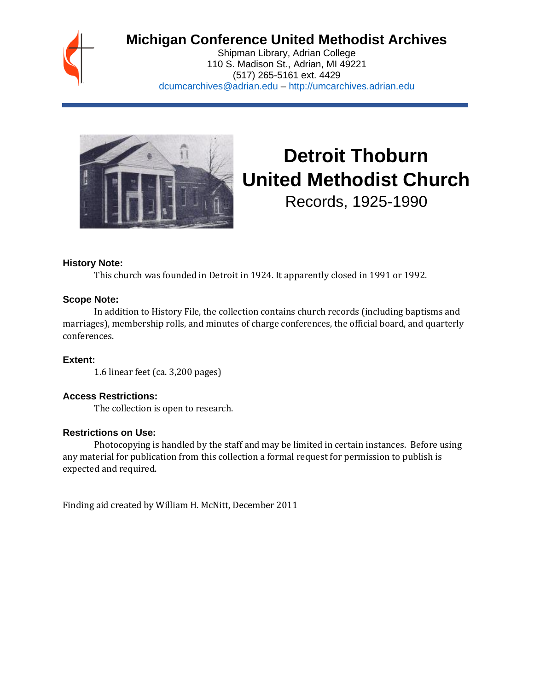

# **Michigan Conference United Methodist Archives**

Shipman Library, Adrian College 110 S. Madison St., Adrian, MI 49221 (517) 265-5161 ext. 4429 [dcumcarchives@adrian.edu](mailto:dcumcarchives@adrian.edu) – [http://umcarchives.adrian.edu](http://umcarchives.adrian.edu/)



# **Detroit Thoburn United Methodist Church**

Records, 1925-1990

#### **History Note:**

This church was founded in Detroit in 1924. It apparently closed in 1991 or 1992.

#### **Scope Note:**

In addition to History File, the collection contains church records (including baptisms and marriages), membership rolls, and minutes of charge conferences, the official board, and quarterly conferences.

**Extent:**

1.6 linear feet (ca. 3,200 pages)

## **Access Restrictions:**

The collection is open to research.

#### **Restrictions on Use:**

Photocopying is handled by the staff and may be limited in certain instances. Before using any material for publication from this collection a formal request for permission to publish is expected and required.

Finding aid created by William H. McNitt, December 2011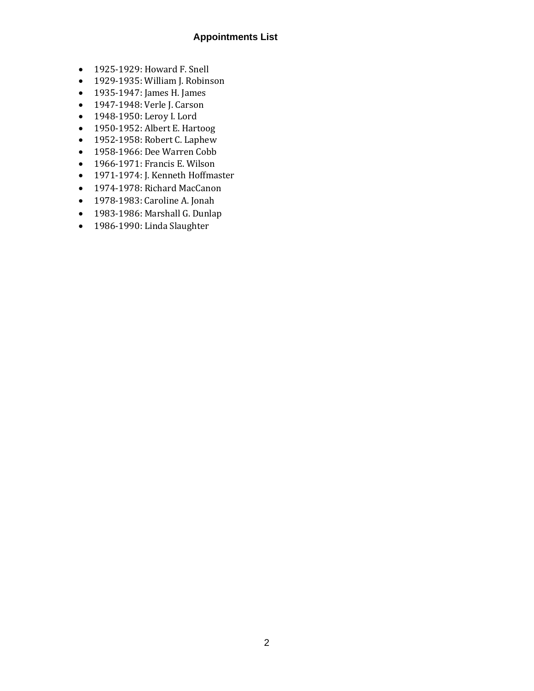#### **Appointments List**

- 1925-1929: Howard F. Snell
- 1929-1935: William J. Robinson
- 1935-1947: James H. James
- 1947-1948: Verle J. Carson
- 1948-1950: Leroy I. Lord
- 1950-1952: Albert E. Hartoog
- 1952-1958: Robert C. Laphew
- 1958-1966: Dee Warren Cobb
- 1966-1971: Francis E. Wilson
- 1971-1974: J. Kenneth Hoffmaster
- 1974-1978: Richard MacCanon
- 1978-1983: Caroline A. Jonah
- 1983-1986: Marshall G. Dunlap
- 1986-1990: Linda Slaughter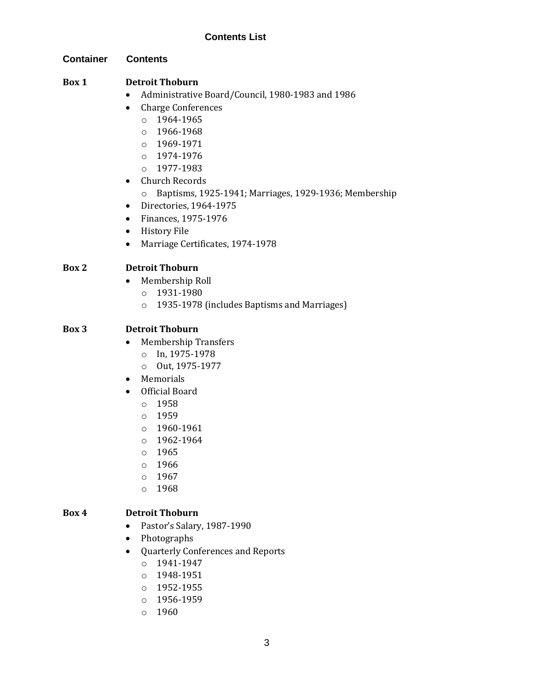#### **Container Contents**

## **Box 1 Detroit Thoburn**

- Administrative Board/Council, 1980-1983 and 1986
- Charge Conferences
	- o 1964-1965
	- $0.1966 1968$
	- o 1969-1971
	- o 1974-1976
	- o 1977-1983
- Church Records
	- o Baptisms, 1925-1941; Marriages, 1929-1936; Membership
- Directories, 1964-1975
- Finances, 1975-1976
- History File
- Marriage Certificates, 1974-1978

## **Box 2 Detroit Thoburn**

- Membership Roll
	- o 1931-1980
	- o 1935-1978 (includes Baptisms and Marriages)

#### **Box 3 Detroit Thoburn**

- Membership Transfers
	- o In, 1975-1978
	- o Out, 1975-1977
- Memorials
- Official Board
	- o 1958
	- o 1959
	- o 1960-1961
	- o 1962-1964
	- o 1965
	- o 1966
	- o 1967
	- o 1968

#### **Box 4 Detroit Thoburn**

- Pastor's Salary, 1987-1990
- Photographs
- Quarterly Conferences and Reports
	- o 1941-1947
	- o 1948-1951
	- o 1952-1955
	- o 1956-1959
	- o 1960